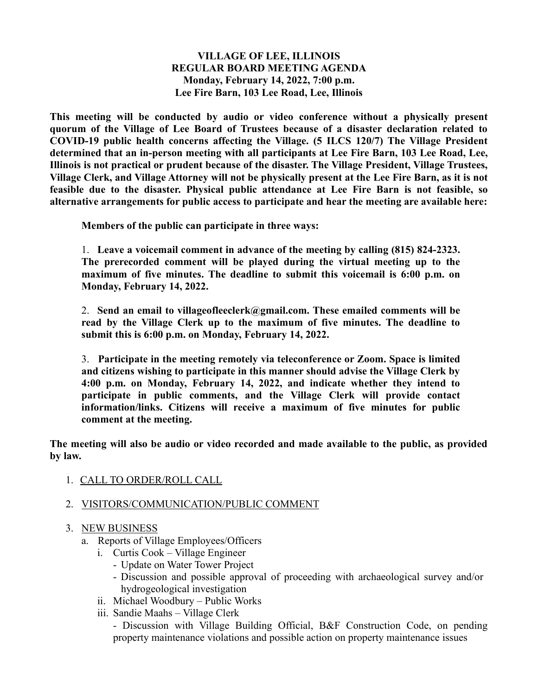### **VILLAGE OF LEE, ILLINOIS REGULAR BOARD MEETING AGENDA Monday, February 14, 2022, 7:00 p.m. Lee Fire Barn, 103 Lee Road, Lee, Illinois**

**This meeting will be conducted by audio or video conference without a physically present quorum of the Village of Lee Board of Trustees because of a disaster declaration related to COVID-19 public health concerns affecting the Village. (5 ILCS 120/7) The Village President determined that an in-person meeting with all participants at Lee Fire Barn, 103 Lee Road, Lee, Illinois is not practical or prudent because of the disaster. The Village President, Village Trustees, Village Clerk, and Village Attorney will not be physically present at the Lee Fire Barn, as it is not feasible due to the disaster. Physical public attendance at Lee Fire Barn is not feasible, so alternative arrangements for public access to participate and hear the meeting are available here:**

**Members of the public can participate in three ways:**

1. **Leave a voicemail comment in advance of the meeting by calling (815) 824-2323. The prerecorded comment will be played during the virtual meeting up to the maximum of five minutes. The deadline to submit this voicemail is 6:00 p.m. on Monday, February 14, 2022.**

2. **Send an email to villageofleeclerk@gmail.com. These emailed comments will be read by the Village Clerk up to the maximum of five minutes. The deadline to submit this is 6:00 p.m. on Monday, February 14, 2022.**

3. **Participate in the meeting remotely via teleconference or Zoom. Space is limited and citizens wishing to participate in this manner should advise the Village Clerk by 4:00 p.m. on Monday, February 14, 2022, and indicate whether they intend to participate in public comments, and the Village Clerk will provide contact information/links. Citizens will receive a maximum of five minutes for public comment at the meeting.**

**The meeting will also be audio or video recorded and made available to the public, as provided by law.**

1. CALL TO ORDER/ROLL CALL

# 2. VISITORS/COMMUNICATION/PUBLIC COMMENT

# 3. NEW BUSINESS

- a. Reports of Village Employees/Officers
	- i. Curtis Cook Village Engineer
		- Update on Water Tower Project
		- Discussion and possible approval of proceeding with archaeological survey and/or hydrogeological investigation
	- ii. Michael Woodbury Public Works
	- iii. Sandie Maahs Village Clerk

- Discussion with Village Building Official, B&F Construction Code, on pending property maintenance violations and possible action on property maintenance issues